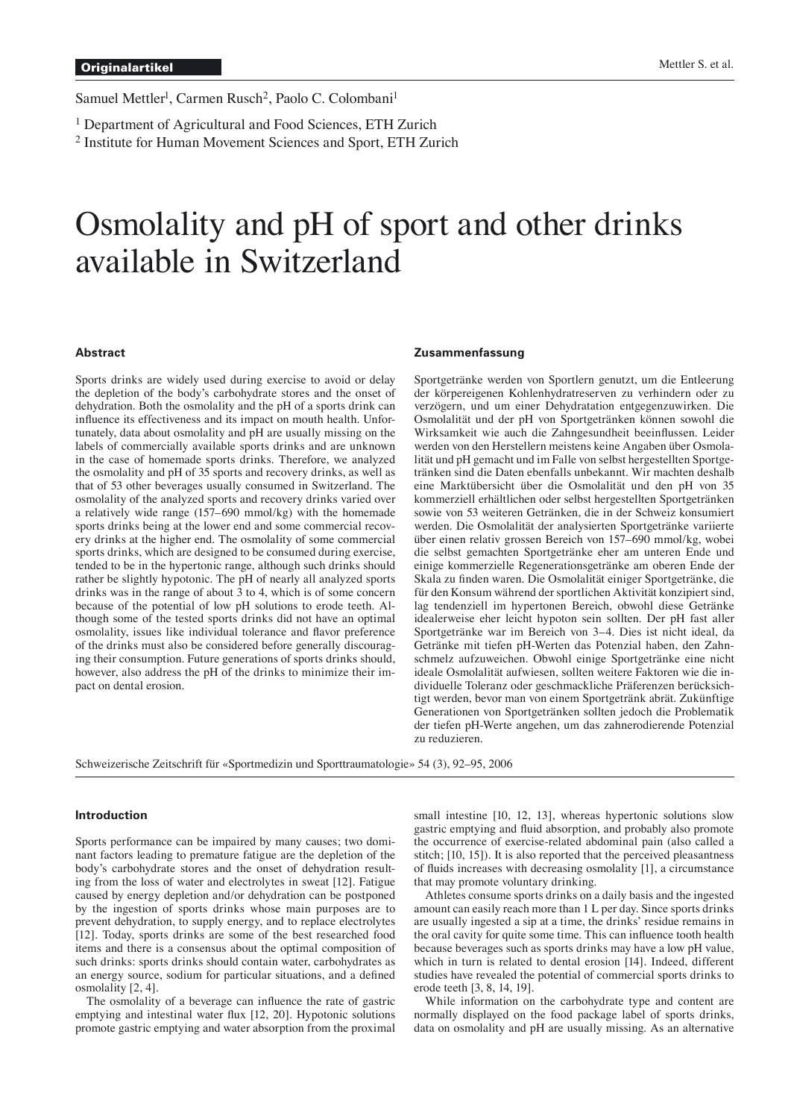Samuel Mettler<sup>1</sup>, Carmen Rusch<sup>2</sup>, Paolo C. Colombani<sup>1</sup>

<sup>1</sup> Department of Agricultural and Food Sciences, ETH Zurich

2 Institute for Human Movement Sciences and Sport, ETH Zurich

# Osmolality and pH of sport and other drinks available in Switzerland

#### **Abstract**

Sports drinks are widely used during exercise to avoid or delay the depletion of the body's carbohydrate stores and the onset of dehydration. Both the osmolality and the pH of a sports drink can influence its effectiveness and its impact on mouth health. Unfortunately, data about osmolality and pH are usually missing on the labels of commercially available sports drinks and are unknown in the case of homemade sports drinks. Therefore, we analyzed the osmolality and pH of 35 sports and recovery drinks, as well as that of 53 other beverages usually consumed in Switzerland. The osmolality of the analyzed sports and recovery drinks varied over a relatively wide range (157–690 mmol/kg) with the homemade sports drinks being at the lower end and some commercial recovery drinks at the higher end. The osmolality of some commercial sports drinks, which are designed to be consumed during exercise, tended to be in the hypertonic range, although such drinks should rather be slightly hypotonic. The pH of nearly all analyzed sports drinks was in the range of about 3 to 4, which is of some concern because of the potential of low pH solutions to erode teeth. Although some of the tested sports drinks did not have an optimal osmolality, issues like individual tolerance and flavor preference of the drinks must also be considered before generally discouraging their consumption. Future generations of sports drinks should, however, also address the pH of the drinks to minimize their impact on dental erosion.

#### **Zusammenfassung**

Sportgetränke werden von Sportlern genutzt, um die Entleerung der körpereigenen Kohlenhydratreserven zu verhindern oder zu verzögern, und um einer Dehydratation entgegenzuwirken. Die Osmolalität und der pH von Sportgetränken können sowohl die Wirksamkeit wie auch die Zahngesundheit beeinflussen. Leider werden von den Herstellern meistens keine Angaben über Osmolalität und pH gemacht und im Falle von selbst hergestellten Sportgetränken sind die Daten ebenfalls unbekannt. Wir machten deshalb eine Marktübersicht über die Osmolalität und den pH von 35 kommerziell erhältlichen oder selbst hergestellten Sportgetränken sowie von 53 weiteren Getränken, die in der Schweiz konsumiert werden. Die Osmolalität der analysierten Sportgetränke variierte über einen relativ grossen Bereich von 157–690 mmol/kg, wobei die selbst gemachten Sportgetränke eher am unteren Ende und einige kommerzielle Regenerationsgetränke am oberen Ende der Skala zu finden waren. Die Osmolalität einiger Sportgetränke, die für den Konsum während der sportlichen Aktivität konzipiert sind, lag tendenziell im hypertonen Bereich, obwohl diese Getränke idealerweise eher leicht hypoton sein sollten. Der pH fast aller Sportgetränke war im Bereich von 3–4. Dies ist nicht ideal, da Getränke mit tiefen pH-Werten das Potenzial haben, den Zahnschmelz aufzuweichen. Obwohl einige Sportgetränke eine nicht ideale Osmolalität aufwiesen, sollten weitere Faktoren wie die individuelle Toleranz oder geschmackliche Präferenzen berücksichtigt werden, bevor man von einem Sportgetränk abrät. Zukünftige Generationen von Sportgetränken sollten jedoch die Problematik der tiefen pH-Werte angehen, um das zahnerodierende Potenzial zu reduzieren.

Schweizerische Zeitschrift für «Sportmedizin und Sporttraumatologie» 54 (3), 92–95, 2006

## **Introduction**

Sports performance can be impaired by many causes; two dominant factors leading to premature fatigue are the depletion of the body's carbohydrate stores and the onset of dehydration resulting from the loss of water and electrolytes in sweat [12]. Fatigue caused by energy depletion and/or dehydration can be postponed by the ingestion of sports drinks whose main purposes are to prevent dehydration, to supply energy, and to replace electrolytes [12]. Today, sports drinks are some of the best researched food items and there is a consensus about the optimal composition of such drinks: sports drinks should contain water, carbohydrates as an energy source, sodium for particular situations, and a defined osmolality [2, 4].

The osmolality of a beverage can influence the rate of gastric emptying and intestinal water flux [12, 20]. Hypotonic solutions promote gastric emptying and water absorption from the proximal small intestine [10, 12, 13], whereas hypertonic solutions slow gastric emptying and fluid absorption, and probably also promote the occurrence of exercise-related abdominal pain (also called a stitch; [10, 15]). It is also reported that the perceived pleasantness of fluids increases with decreasing osmolality [1], a circumstance that may promote voluntary drinking.

 Athletes consume sports drinks on a daily basis and the ingested amount can easily reach more than 1 L per day. Since sports drinks are usually ingested a sip at a time, the drinks' residue remains in the oral cavity for quite some time. This can influence tooth health because beverages such as sports drinks may have a low pH value, which in turn is related to dental erosion [14]. Indeed, different studies have revealed the potential of commercial sports drinks to erode teeth [3, 8, 14, 19].

 While information on the carbohydrate type and content are normally displayed on the food package label of sports drinks, data on osmolality and pH are usually missing. As an alternative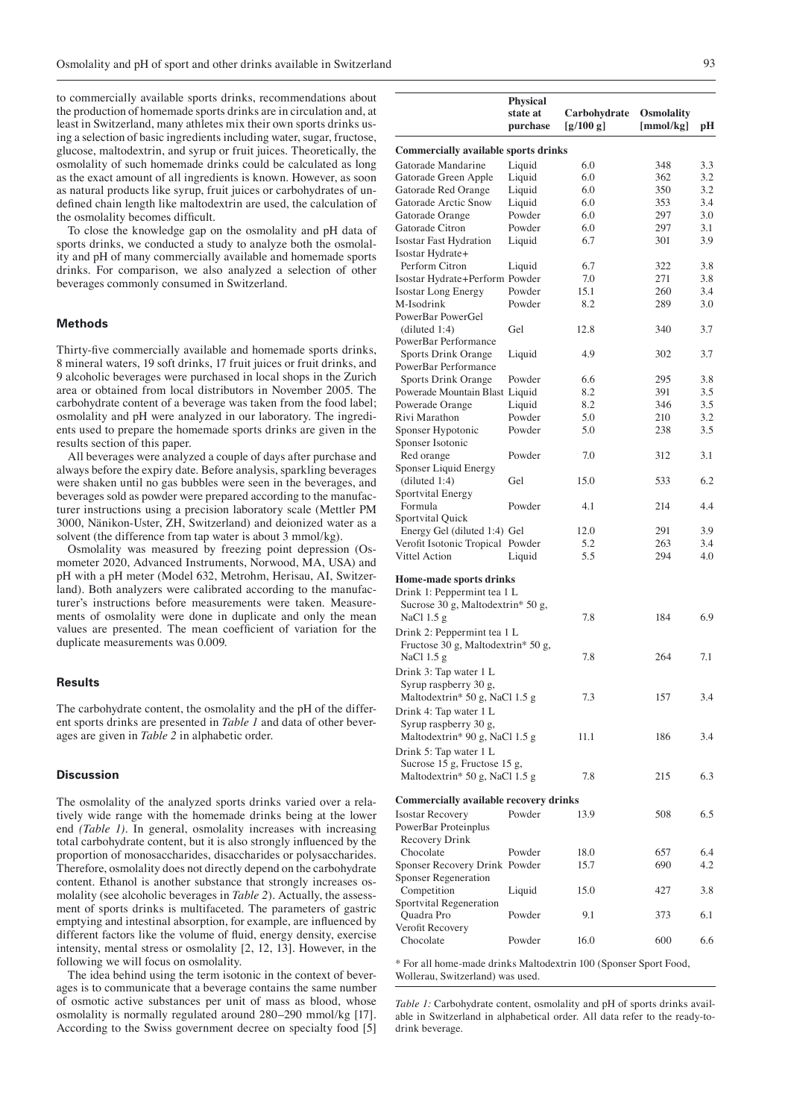to commercially available sports drinks, recommendations about the production of homemade sports drinks are in circulation and, at least in Switzerland, many athletes mix their own sports drinks using a selection of basic ingredients including water, sugar, fructose, glucose, maltodextrin, and syrup or fruit juices. Theoretically, the osmolality of such homemade drinks could be calculated as long as the exact amount of all ingredients is known. However, as soon as natural products like syrup, fruit juices or carbohydrates of undefined chain length like maltodextrin are used, the calculation of the osmolality becomes difficult.

 To close the knowledge gap on the osmolality and pH data of sports drinks, we conducted a study to analyze both the osmolality and pH of many commercially available and homemade sports drinks. For comparison, we also analyzed a selection of other beverages commonly consumed in Switzerland.

## **Methods**

Thirty-five commercially available and homemade sports drinks, 8 mineral waters, 19 soft drinks, 17 fruit juices or fruit drinks, and 9 alcoholic beverages were purchased in local shops in the Zurich area or obtained from local distributors in November 2005. The carbohydrate content of a beverage was taken from the food label; osmolality and pH were analyzed in our laboratory. The ingredients used to prepare the homemade sports drinks are given in the results section of this paper.

 All beverages were analyzed a couple of days after purchase and always before the expiry date. Before analysis, sparkling beverages were shaken until no gas bubbles were seen in the beverages, and beverages sold as powder were prepared according to the manufacturer instructions using a precision laboratory scale (Mettler PM 3000, Nänikon-Uster, ZH, Switzerland) and deionized water as a solvent (the difference from tap water is about 3 mmol/kg).

 Osmolality was measured by freezing point depression (Osmometer 2020, Advanced Instruments, Norwood, MA, USA) and pH with a pH meter (Model 632, Metrohm, Herisau, AI, Switzerland). Both analyzers were calibrated according to the manufacturer's instructions before measurements were taken. Measurements of osmolality were done in duplicate and only the mean values are presented. The mean coefficient of variation for the duplicate measurements was 0.009.

## **Results**

The carbohydrate content, the osmolality and the pH of the different sports drinks are presented in *Table 1* and data of other beverages are given in *Table 2* in alphabetic order.

## **Discussion**

The osmolality of the analyzed sports drinks varied over a relatively wide range with the homemade drinks being at the lower end *(Table 1)*. In general, osmolality increases with increasing total carbohydrate content, but it is also strongly influenced by the proportion of monosaccharides, disaccharides or polysaccharides. Therefore, osmolality does not directly depend on the carbohydrate content. Ethanol is another substance that strongly increases osmolality (see alcoholic beverages in *Table 2*). Actually, the assessment of sports drinks is multifaceted. The parameters of gastric emptying and intestinal absorption, for example, are influenced by different factors like the volume of fluid, energy density, exercise intensity, mental stress or osmolality [2, 12, 13]. However, in the following we will focus on osmolality.

 The idea behind using the term isotonic in the context of beverages is to communicate that a beverage contains the same number of osmotic active substances per unit of mass as blood, whose osmolality is normally regulated around 280–290 mmol/kg [17]. According to the Swiss government decree on specialty food [5]

|                                                        | <b>Physical</b><br>state at<br>purchase | Carbohydrate<br>[g/100 g] | <b>Osmolality</b><br>[mmol/kg] | рH  |
|--------------------------------------------------------|-----------------------------------------|---------------------------|--------------------------------|-----|
| <b>Commercially available sports drinks</b>            |                                         |                           |                                |     |
| Gatorade Mandarine                                     | Liquid                                  | 6.0                       | 348                            | 3.3 |
| Gatorade Green Apple                                   | Liquid                                  | 6.0                       | 362                            | 3.2 |
| Gatorade Red Orange                                    | Liquid                                  | 6.0                       | 350                            | 3.2 |
| Gatorade Arctic Snow                                   | Liquid                                  | 6.0                       | 353                            | 3.4 |
| Gatorade Orange                                        | Powder                                  | 6.0                       | 297                            | 3.0 |
| Gatorade Citron                                        | Powder                                  | 6.0                       | 297                            | 3.1 |
| <b>Isostar Fast Hydration</b><br>Isostar Hydrate+      | Liquid                                  | 6.7                       | 301                            | 3.9 |
| Perform Citron                                         | Liquid                                  | 6.7                       | 322                            | 3.8 |
| Isostar Hydrate+Perform Powder                         |                                         | 7.0                       | 271                            | 3.8 |
| <b>Isostar Long Energy</b>                             | Powder                                  | 15.1                      | 260                            | 3.4 |
| M-Isodrink                                             | Powder                                  | 8.2                       | 289                            | 3.0 |
| PowerBar PowerGel                                      |                                         |                           |                                |     |
| (diluted 1:4)<br>PowerBar Performance                  | Gel                                     | 12.8                      | 340                            | 3.7 |
| Sports Drink Orange                                    | Liquid                                  | 4.9                       | 302                            | 3.7 |
| PowerBar Performance                                   |                                         |                           |                                |     |
| Sports Drink Orange                                    | Powder                                  | 6.6                       | 295                            | 3.8 |
| Powerade Mountain Blast Liquid                         |                                         | 8.2                       | 391                            | 3.5 |
| Powerade Orange                                        | Liquid                                  | 8.2                       | 346                            | 3.5 |
| Rivi Marathon                                          | Powder                                  | 5.0                       | 210                            | 3.2 |
| Sponser Hypotonic<br>Sponser Isotonic                  | Powder                                  | 5.0                       | 238                            | 3.5 |
| Red orange<br>Sponser Liquid Energy                    | Powder                                  | 7.0                       | 312                            | 3.1 |
| (diluted 1:4)<br>Sportvital Energy                     | Gel                                     | 15.0                      | 533                            | 6.2 |
| Formula<br>Sportvital Quick                            | Powder                                  | 4.1                       | 214                            | 4.4 |
| Energy Gel (diluted 1:4) Gel                           |                                         | 12.0                      | 291                            | 3.9 |
| Verofit Isotonic Tropical Powder                       |                                         | 5.2                       | 263                            | 3.4 |
| Vittel Action                                          | Liquid                                  | 5.5                       | 294                            | 4.0 |
| Home-made sports drinks                                |                                         |                           |                                |     |
| Drink 1: Peppermint tea 1 L                            |                                         |                           |                                |     |
| Sucrose 30 g, Maltodextrin* 50 g,                      |                                         |                           |                                |     |
| NaCl $1.5 g$                                           |                                         | 7.8                       | 184                            | 6.9 |
| Drink 2: Peppermint tea 1 L                            |                                         |                           |                                |     |
| Fructose 30 g, Maltodextrin* 50 g,                     |                                         |                           |                                |     |
| NaCl 1.5 g                                             |                                         | 7.8                       | 264                            | 7.1 |
| Drink 3: Tap water 1 L                                 |                                         |                           |                                |     |
| Syrup raspberry 30 g,                                  |                                         |                           |                                |     |
| Maltodextrin* 50 g, NaCl 1.5 g                         |                                         | 7.3                       | 157                            | 3.4 |
| Drink 4: Tap water 1 L<br>Syrup raspberry 30 g,        |                                         |                           |                                |     |
| Maltodextrin* 90 g, NaCl 1.5 g                         |                                         | 11.1                      | 186                            | 3.4 |
| Drink 5: Tap water 1 L<br>Sucrose 15 g, Fructose 15 g, |                                         |                           |                                |     |
| Maltodextrin* 50 g, NaCl 1.5 g                         |                                         | 7.8                       | 215                            | 6.3 |
| <b>Commercially available recovery drinks</b>          |                                         |                           |                                |     |
| <b>Isostar Recovery</b><br>PowerBar Proteinplus        | Powder                                  | 13.9                      | 508                            | 6.5 |
| Recovery Drink                                         |                                         |                           |                                |     |
| Chocolate                                              | Powder                                  | 18.0                      | 657                            | 6.4 |
| Sponser Recovery Drink Powder                          |                                         | 15.7                      | 690                            | 4.2 |
| Sponser Regeneration                                   |                                         |                           |                                |     |
| Competition                                            | Liquid                                  | 15.0                      | 427                            | 3.8 |
| Sportvital Regeneration                                |                                         |                           |                                |     |
| Quadra Pro<br>Verofit Recovery                         | Powder                                  | 9.1                       | 373                            | 6.1 |
| Chocolate                                              | Powder                                  | 16.0                      | 600                            | 6.6 |

\* For all home-made drinks Maltodextrin 100 (Sponser Sport Food, Wollerau, Switzerland) was used.

*Table 1:* Carbohydrate content, osmolality and pH of sports drinks available in Switzerland in alphabetical order. All data refer to the ready-todrink beverage.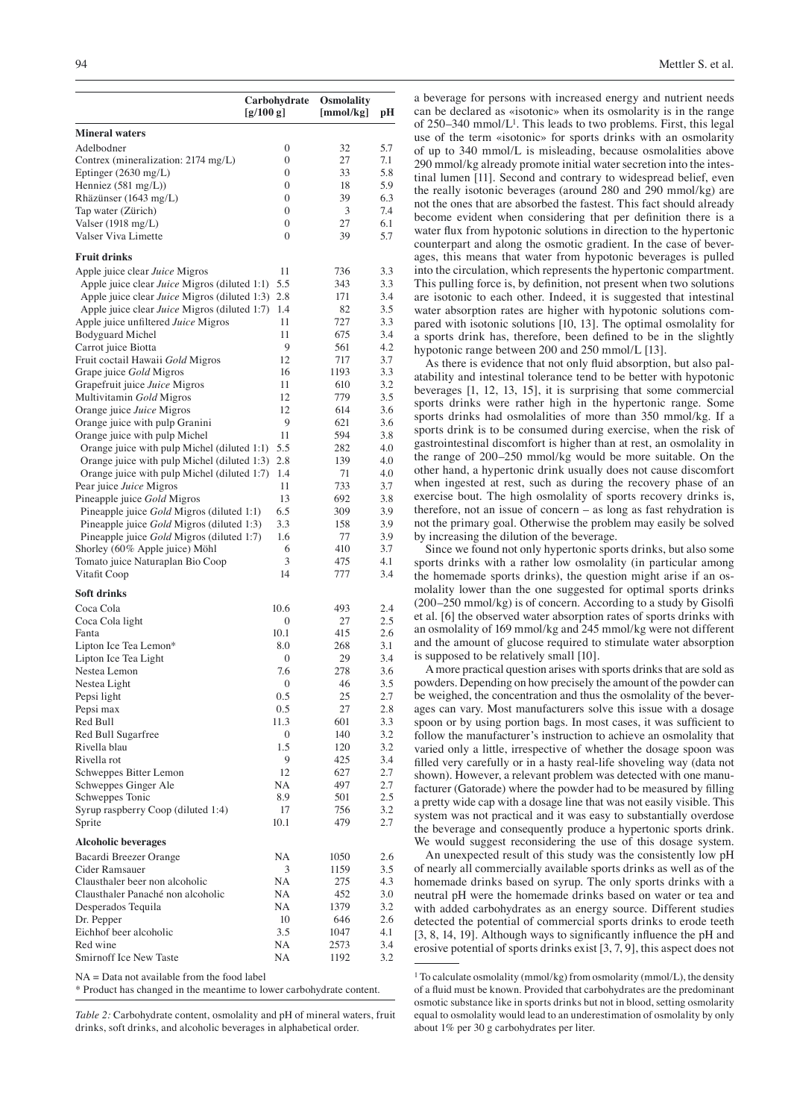|                                                                                        | Carbohydrate        | <b>Osmolality</b> |            |
|----------------------------------------------------------------------------------------|---------------------|-------------------|------------|
|                                                                                        | [g/100 g]           | [mmol/kg]         | pН         |
| <b>Mineral waters</b>                                                                  |                     |                   |            |
| Adelbodner                                                                             | $\mathbf{0}$        | 32                | 5.7        |
| Contrex (mineralization: 2174 mg/L)                                                    | 0                   | 27                | 7.1        |
| Eptinger (2630 mg/L)                                                                   | $\mathbf{0}$        | 33                | 5.8        |
| Henniez $(581 \text{ mg/L}))$                                                          | $\Omega$            | 18                | 5.9        |
| Rhäzünser (1643 mg/L)                                                                  | 0                   | 39                | 6.3        |
| Tap water (Zürich)                                                                     | $\mathbf{0}$        | 3                 | 7.4        |
| Valser $(1918 \text{ mg/L})$                                                           | $\mathbf{0}$        | 27                | 6.1        |
| Valser Viva Limette                                                                    | $\Omega$            | 39                | 5.7        |
| <b>Fruit drinks</b>                                                                    |                     |                   |            |
| Apple juice clear Juice Migros                                                         | 11                  | 736               | 3.3        |
| Apple juice clear Juice Migros (diluted 1:1)                                           | 5.5                 | 343               | 3.3        |
| Apple juice clear Juice Migros (diluted 1:3)                                           | 2.8                 | 171               | 3.4        |
| Apple juice clear Juice Migros (diluted 1:7)                                           | 1.4                 | 82                | 3.5        |
| Apple juice unfiltered Juice Migros                                                    | 11                  | 727               | 3.3        |
| <b>Bodyguard Michel</b><br>Carrot juice Biotta                                         | 11<br>9             | 675<br>561        | 3.4<br>4.2 |
| Fruit coctail Hawaii Gold Migros                                                       | 12                  | 717               | 3.7        |
| Grape juice Gold Migros                                                                | 16                  | 1193              | 3.3        |
| Grapefruit juice Juice Migros                                                          | 11                  | 610               | 3.2        |
| Multivitamin Gold Migros                                                               | 12                  | 779               | 3.5        |
| Orange juice Juice Migros                                                              | 12                  | 614               | 3.6        |
| Orange juice with pulp Granini                                                         | 9                   | 621               | 3.6        |
| Orange juice with pulp Michel                                                          | 11                  | 594               | 3.8        |
| Orange juice with pulp Michel (diluted 1:1)                                            | 5.5                 | 282               | 4.0        |
| Orange juice with pulp Michel (diluted 1:3)                                            | 2.8                 | 139               | 4.0        |
| Orange juice with pulp Michel (diluted 1:7)                                            | 1.4                 | 71                | 4.0        |
| Pear juice Juice Migros                                                                | 11                  | 733               | 3.7        |
| Pineapple juice Gold Migros                                                            | 13                  | 692               | 3.8        |
| Pineapple juice Gold Migros (diluted 1:1)<br>Pineapple juice Gold Migros (diluted 1:3) | 6.5<br>3.3          | 309<br>158        | 3.9<br>3.9 |
| Pineapple juice Gold Migros (diluted 1:7)                                              | 1.6                 | 77                | 3.9        |
| Shorley (60% Apple juice) Möhl                                                         | 6                   | 410               | 3.7        |
| Tomato juice Naturaplan Bio Coop                                                       | 3                   | 475               | 4.1        |
| Vitafit Coop                                                                           | 14                  | 777               | 3.4        |
| <b>Soft drinks</b>                                                                     |                     |                   |            |
| Coca Cola                                                                              | 10.6                | 493               | 2.4        |
| Coca Cola light                                                                        | 0                   | 27                | 2.5        |
| Fanta                                                                                  | 10.1                | 415               | 2.6<br>3.1 |
| Lipton Ice Tea Lemon*<br>Lipton Ice Tea Light                                          | 8.0<br>$\mathbf{0}$ | 268<br>29         | 3.4        |
| Nestea Lemon                                                                           | 7.6                 | 278               | 3.6        |
| Nestea Light                                                                           | $\mathbf{0}$        | 46                | 3.5        |
| Pepsi light                                                                            | 0.5                 | 25                | 2.7        |
| Pepsi max                                                                              | 0.5                 | 27                | 2.8        |
| Red Bull                                                                               | 11.3                | 601               | 3.3        |
| Red Bull Sugarfree                                                                     | 0                   | 140               | 3.2        |
| Rivella blau                                                                           | 1.5                 | 120               | 3.2        |
| Rivella rot                                                                            | 9                   | 425               | 3.4        |
| Schweppes Bitter Lemon                                                                 | 12                  | 627               | 2.7        |
| Schweppes Ginger Ale<br>Schweppes Tonic                                                | NA<br>8.9           | 497<br>501        | 2.7<br>2.5 |
| Syrup raspberry Coop (diluted 1:4)                                                     | 17                  | 756               | 3.2        |
| Sprite                                                                                 | 10.1                | 479               | 2.7        |
| <b>Alcoholic beverages</b>                                                             |                     |                   |            |
| Bacardi Breezer Orange                                                                 | NA                  | 1050              | 2.6        |
| Cider Ramsauer                                                                         | 3                   | 1159              | 3.5        |
| Clausthaler beer non alcoholic                                                         | NA                  | 275               | 4.3        |
| Clausthaler Panaché non alcoholic                                                      | NA                  | 452               | 3.0        |
| Desperados Tequila                                                                     | NA                  | 1379              | 3.2        |
| Dr. Pepper                                                                             | 10                  | 646               | 2.6        |
| Eichhof beer alcoholic                                                                 | 3.5                 | 1047              | 4.1        |
| Red wine<br>Smirnoff Ice New Taste                                                     | NA<br>NA            | 2573<br>1192      | 3.4<br>3.2 |
| $NA = Data$ not available from the food label                                          |                     |                   |            |
|                                                                                        |                     |                   |            |

\* Product has changed in the meantime to lower carbohydrate content.

*Table 2:* Carbohydrate content, osmolality and pH of mineral waters, fruit drinks, soft drinks, and alcoholic beverages in alphabetical order.

a beverage for persons with increased energy and nutrient needs can be declared as «isotonic» when its osmolarity is in the range of 250–340 mmol/L1. This leads to two problems. First, this legal use of the term «isotonic» for sports drinks with an osmolarity of up to 340 mmol/L is misleading, because osmolalities above 290 mmol/kg already promote initial water secretion into the intestinal lumen [11]. Second and contrary to widespread belief, even the really isotonic beverages (around 280 and 290 mmol/kg) are not the ones that are absorbed the fastest. This fact should already become evident when considering that per definition there is a water flux from hypotonic solutions in direction to the hypertonic counterpart and along the osmotic gradient. In the case of beverages, this means that water from hypotonic beverages is pulled into the circulation, which represents the hypertonic compartment. This pulling force is, by definition, not present when two solutions are isotonic to each other. Indeed, it is suggested that intestinal water absorption rates are higher with hypotonic solutions compared with isotonic solutions [10, 13]. The optimal osmolality for a sports drink has, therefore, been defined to be in the slightly hypotonic range between 200 and 250 mmol/L [13].

As there is evidence that not only fluid absorption, but also palatability and intestinal tolerance tend to be better with hypotonic beverages [1, 12, 13, 15], it is surprising that some commercial sports drinks were rather high in the hypertonic range. Some sports drinks had osmolalities of more than 350 mmol/kg. If a sports drink is to be consumed during exercise, when the risk of gastrointestinal discomfort is higher than at rest, an osmolality in the range of 200–250 mmol/kg would be more suitable. On the other hand, a hypertonic drink usually does not cause discomfort when ingested at rest, such as during the recovery phase of an exercise bout. The high osmolality of sports recovery drinks is, therefore, not an issue of concern – as long as fast rehydration is not the primary goal. Otherwise the problem may easily be solved by increasing the dilution of the beverage.

 Since we found not only hypertonic sports drinks, but also some sports drinks with a rather low osmolality (in particular among the homemade sports drinks), the question might arise if an osmolality lower than the one suggested for optimal sports drinks (200–250 mmol/kg) is of concern. According to a study by Gisolfi et al. [6] the observed water absorption rates of sports drinks with an osmolality of 169 mmol/kg and 245 mmol/kg were not different and the amount of glucose required to stimulate water absorption is supposed to be relatively small [10].

 A more practical question arises with sports drinks that are sold as powders. Depending on how precisely the amount of the powder can be weighed, the concentration and thus the osmolality of the beverages can vary. Most manufacturers solve this issue with a dosage spoon or by using portion bags. In most cases, it was sufficient to follow the manufacturer's instruction to achieve an osmolality that varied only a little, irrespective of whether the dosage spoon was filled very carefully or in a hasty real-life shoveling way (data not shown). However, a relevant problem was detected with one manufacturer (Gatorade) where the powder had to be measured by filling a pretty wide cap with a dosage line that was not easily visible. This system was not practical and it was easy to substantially overdose the beverage and consequently produce a hypertonic sports drink. We would suggest reconsidering the use of this dosage system.

 An unexpected result of this study was the consistently low pH of nearly all commercially available sports drinks as well as of the homemade drinks based on syrup. The only sports drinks with a neutral pH were the homemade drinks based on water or tea and with added carbohydrates as an energy source. Different studies detected the potential of commercial sports drinks to erode teeth  $[3, 8, 14, 19]$ . Although ways to significantly influence the pH and erosive potential of sports drinks exist [3, 7, 9], this aspect does not

<sup>&</sup>lt;sup>1</sup> To calculate osmolality (mmol/kg) from osmolarity (mmol/L), the density of a fluid must be known. Provided that carbohydrates are the predominant osmotic substance like in sports drinks but not in blood, setting osmolarity equal to osmolality would lead to an underestimation of osmolality by only about 1% per 30 g carbohydrates per liter.